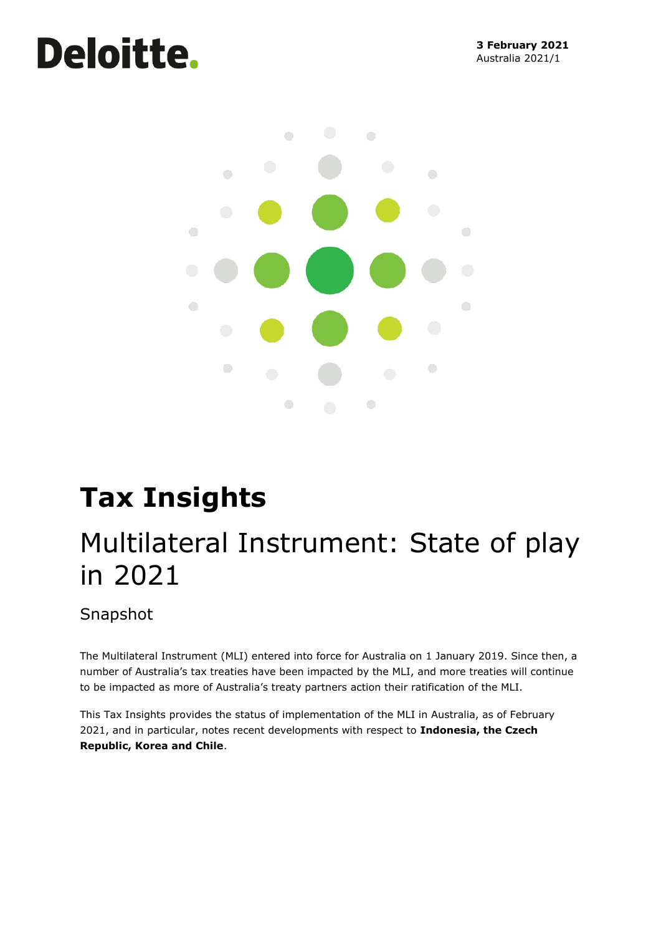# **Deloitte.**



## **Tax Insights**

## Multilateral Instrument: State of play in 2021

Snapshot

The Multilateral Instrument (MLI) entered into force for Australia on 1 January 2019. Since then, a number of Australia's tax treaties have been impacted by the MLI, and more treaties will continue to be impacted as more of Australia's treaty partners action their ratification of the MLI.

This Tax Insights provides the status of implementation of the MLI in Australia, as of February 2021, and in particular, notes recent developments with respect to **Indonesia, the Czech Republic, Korea and Chile**.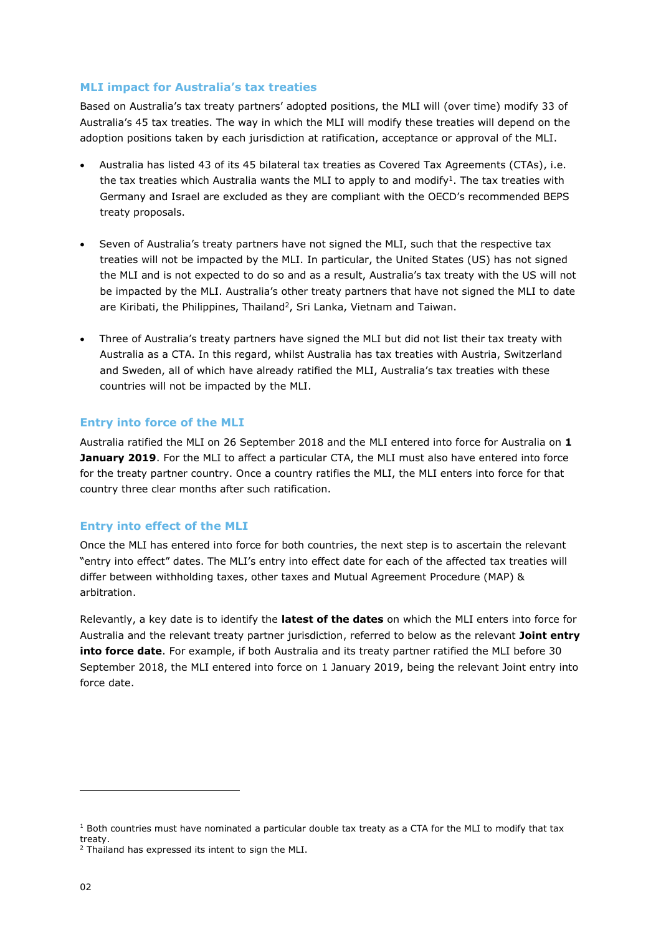## **MLI impact for Australia's tax treaties**

Based on Australia's tax treaty partners' adopted positions, the MLI will (over time) modify 33 of Australia's 45 tax treaties. The way in which the MLI will modify these treaties will depend on the adoption positions taken by each jurisdiction at ratification, acceptance or approval of the MLI.

- Australia has listed 43 of its 45 bilateral tax treaties as Covered Tax Agreements (CTAs), i.e. the tax treaties which Australia wants the MLI to apply to and modify<sup>1</sup>. The tax treaties with Germany and Israel are excluded as they are compliant with the OECD's recommended BEPS treaty proposals.
- Seven of Australia's treaty partners have not signed the MLI, such that the respective tax treaties will not be impacted by the MLI. In particular, the United States (US) has not signed the MLI and is not expected to do so and as a result, Australia's tax treaty with the US will not be impacted by the MLI. Australia's other treaty partners that have not signed the MLI to date are Kiribati, the Philippines, Thailand<sup>2</sup>, Sri Lanka, Vietnam and Taiwan.
- Three of Australia's treaty partners have signed the MLI but did not list their tax treaty with Australia as a CTA. In this regard, whilst Australia has tax treaties with Austria, Switzerland and Sweden, all of which have already ratified the MLI, Australia's tax treaties with these countries will not be impacted by the MLI.

## **Entry into force of the MLI**

Australia ratified the MLI on 26 September 2018 and the MLI entered into force for Australia on **1 January 2019**. For the MLI to affect a particular CTA, the MLI must also have entered into force for the treaty partner country. Once a country ratifies the MLI, the MLI enters into force for that country three clear months after such ratification.

## **Entry into effect of the MLI**

Once the MLI has entered into force for both countries, the next step is to ascertain the relevant "entry into effect" dates. The MLI's entry into effect date for each of the affected tax treaties will differ between withholding taxes, other taxes and Mutual Agreement Procedure (MAP) & arbitration.

Relevantly, a key date is to identify the **latest of the dates** on which the MLI enters into force for Australia and the relevant treaty partner jurisdiction, referred to below as the relevant **Joint entry into force date**. For example, if both Australia and its treaty partner ratified the MLI before 30 September 2018, the MLI entered into force on 1 January 2019, being the relevant Joint entry into force date.

 $1$  Both countries must have nominated a particular double tax treaty as a CTA for the MLI to modify that tax treaty.

<sup>&</sup>lt;sup>2</sup> Thailand has expressed its intent to sign the MLI.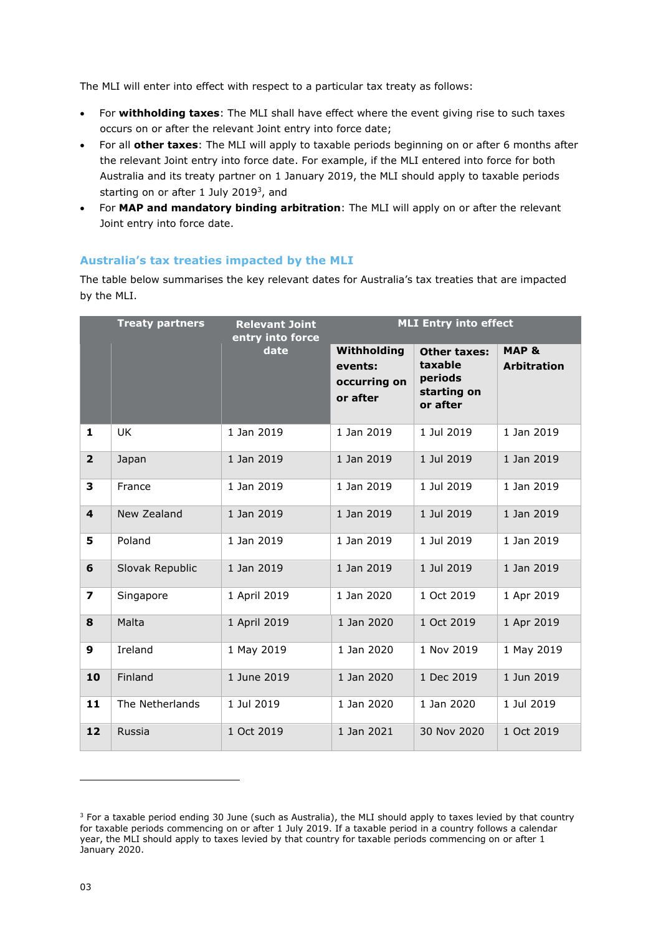The MLI will enter into effect with respect to a particular tax treaty as follows:

- For **withholding taxes**: The MLI shall have effect where the event giving rise to such taxes occurs on or after the relevant Joint entry into force date;
- For all **other taxes**: The MLI will apply to taxable periods beginning on or after 6 months after the relevant Joint entry into force date. For example, if the MLI entered into force for both Australia and its treaty partner on 1 January 2019, the MLI should apply to taxable periods starting on or after 1 July 2019<sup>3</sup>, and
- For **MAP and mandatory binding arbitration**: The MLI will apply on or after the relevant Joint entry into force date.

## **Australia's tax treaties impacted by the MLI**

The table below summarises the key relevant dates for Australia's tax treaties that are impacted by the MLI.

|                         | <b>Treaty partners</b> | <b>Relevant Joint</b><br>entry into force<br>date | <b>MLI Entry into effect</b>                       |                                                                      |                             |
|-------------------------|------------------------|---------------------------------------------------|----------------------------------------------------|----------------------------------------------------------------------|-----------------------------|
|                         |                        |                                                   | Withholding<br>events:<br>occurring on<br>or after | <b>Other taxes:</b><br>taxable<br>periods<br>starting on<br>or after | MAP &<br><b>Arbitration</b> |
| $\mathbf{1}$            | <b>UK</b>              | 1 Jan 2019                                        | 1 Jan 2019                                         | 1 Jul 2019                                                           | 1 Jan 2019                  |
| $\overline{2}$          | Japan                  | 1 Jan 2019                                        | 1 Jan 2019                                         | 1 Jul 2019                                                           | 1 Jan 2019                  |
| 3                       | France                 | 1 Jan 2019                                        | 1 Jan 2019                                         | 1 Jul 2019                                                           | 1 Jan 2019                  |
| $\overline{\mathbf{4}}$ | New Zealand            | 1 Jan 2019                                        | 1 Jan 2019                                         | 1 Jul 2019                                                           | 1 Jan 2019                  |
| 5                       | Poland                 | 1 Jan 2019                                        | 1 Jan 2019                                         | 1 Jul 2019                                                           | 1 Jan 2019                  |
| 6                       | Slovak Republic        | 1 Jan 2019                                        | 1 Jan 2019                                         | 1 Jul 2019                                                           | 1 Jan 2019                  |
| $\overline{\mathbf{z}}$ | Singapore              | 1 April 2019                                      | 1 Jan 2020                                         | 1 Oct 2019                                                           | 1 Apr 2019                  |
| 8                       | Malta                  | 1 April 2019                                      | 1 Jan 2020                                         | 1 Oct 2019                                                           | 1 Apr 2019                  |
| 9                       | Ireland                | 1 May 2019                                        | 1 Jan 2020                                         | 1 Nov 2019                                                           | 1 May 2019                  |
| 10                      | Finland                | 1 June 2019                                       | 1 Jan 2020                                         | 1 Dec 2019                                                           | 1 Jun 2019                  |
| 11                      | The Netherlands        | 1 Jul 2019                                        | 1 Jan 2020                                         | 1 Jan 2020                                                           | 1 Jul 2019                  |
| 12                      | Russia                 | 1 Oct 2019                                        | 1 Jan 2021                                         | 30 Nov 2020                                                          | 1 Oct 2019                  |

<sup>&</sup>lt;sup>3</sup> For a taxable period ending 30 June (such as Australia), the MLI should apply to taxes levied by that country for taxable periods commencing on or after 1 July 2019. If a taxable period in a country follows a calendar year, the MLI should apply to taxes levied by that country for taxable periods commencing on or after 1 January 2020.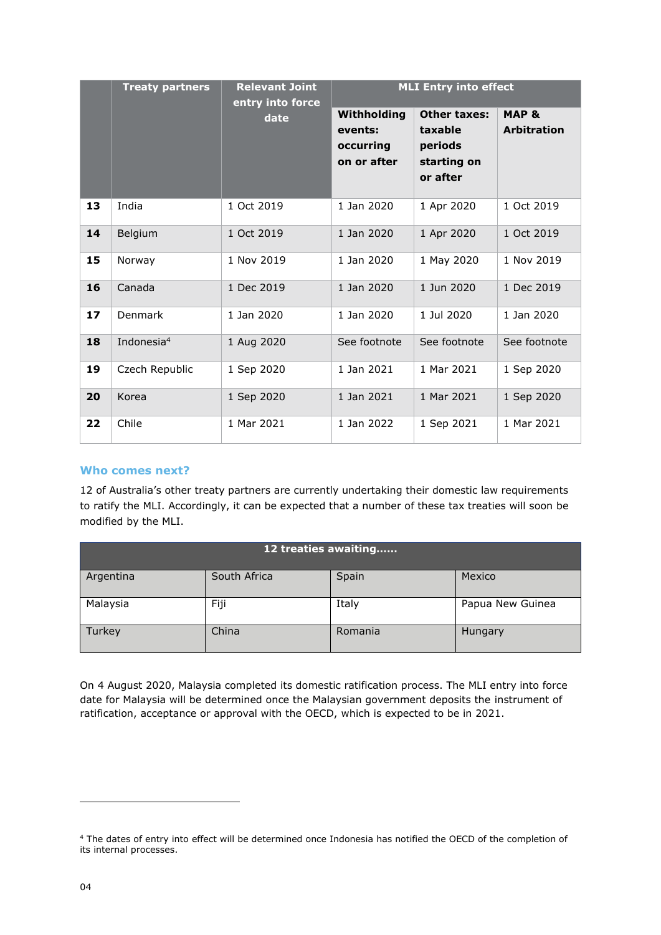|    | <b>Treaty partners</b> | <b>Relevant Joint</b><br>entry into force | <b>MLI Entry into effect</b>                       |                                                                      |                                        |
|----|------------------------|-------------------------------------------|----------------------------------------------------|----------------------------------------------------------------------|----------------------------------------|
|    |                        | date                                      | Withholding<br>events:<br>occurring<br>on or after | <b>Other taxes:</b><br>taxable<br>periods<br>starting on<br>or after | <b>MAP &amp;</b><br><b>Arbitration</b> |
| 13 | India                  | 1 Oct 2019                                | 1 Jan 2020                                         | 1 Apr 2020                                                           | 1 Oct 2019                             |
| 14 | Belgium                | 1 Oct 2019                                | 1 Jan 2020                                         | 1 Apr 2020                                                           | 1 Oct 2019                             |
| 15 | Norway                 | 1 Nov 2019                                | 1 Jan 2020                                         | 1 May 2020                                                           | 1 Nov 2019                             |
| 16 | Canada                 | 1 Dec 2019                                | 1 Jan 2020                                         | 1 Jun 2020                                                           | 1 Dec 2019                             |
| 17 | Denmark                | 1 Jan 2020                                | 1 Jan 2020                                         | 1 Jul 2020                                                           | 1 Jan 2020                             |
| 18 | Indonesia <sup>4</sup> | 1 Aug 2020                                | See footnote                                       | See footnote                                                         | See footnote                           |
| 19 | Czech Republic         | 1 Sep 2020                                | 1 Jan 2021                                         | 1 Mar 2021                                                           | 1 Sep 2020                             |
| 20 | Korea                  | 1 Sep 2020                                | 1 Jan 2021                                         | 1 Mar 2021                                                           | 1 Sep 2020                             |
| 22 | Chile                  | 1 Mar 2021                                | 1 Jan 2022                                         | 1 Sep 2021                                                           | 1 Mar 2021                             |

## **Who comes next?**

12 of Australia's other treaty partners are currently undertaking their domestic law requirements to ratify the MLI. Accordingly, it can be expected that a number of these tax treaties will soon be modified by the MLI.

| 12 treaties awaiting |              |         |                  |  |  |  |  |
|----------------------|--------------|---------|------------------|--|--|--|--|
| Argentina            | South Africa | Spain   | Mexico           |  |  |  |  |
| Malaysia             | Fiji         | Italy   | Papua New Guinea |  |  |  |  |
| Turkey               | China        | Romania | Hungary          |  |  |  |  |

On 4 August 2020, Malaysia completed its domestic ratification process. The MLI entry into force date for Malaysia will be determined once the Malaysian government deposits the instrument of ratification, acceptance or approval with the OECD, which is expected to be in 2021.

<sup>4</sup> The dates of entry into effect will be determined once Indonesia has notified the OECD of the completion of its internal processes.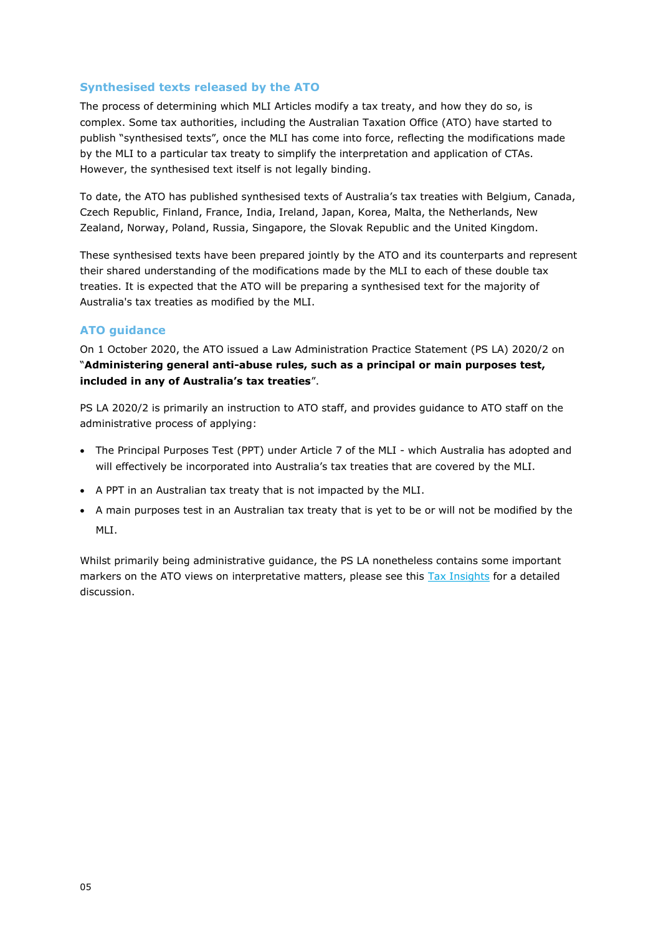## **Synthesised texts released by the ATO**

The process of determining which MLI Articles modify a tax treaty, and how they do so, is complex. Some tax authorities, including the Australian Taxation Office (ATO) have started to publish "synthesised texts", once the MLI has come into force, reflecting the modifications made by the MLI to a particular tax treaty to simplify the interpretation and application of CTAs. However, the synthesised text itself is not legally binding.

To date, the ATO has published synthesised texts of Australia's tax treaties with Belgium, Canada, Czech Republic, Finland, France, India, Ireland, Japan, Korea, Malta, the Netherlands, New Zealand, Norway, Poland, Russia, Singapore, the Slovak Republic and the United Kingdom.

These synthesised texts have been prepared jointly by the ATO and its counterparts and represent their shared understanding of the modifications made by the MLI to each of these double tax treaties. It is expected that the ATO will be preparing a synthesised text for the majority of Australia's tax treaties as modified by the MLI.

## **ATO guidance**

On 1 October 2020, the ATO issued a Law Administration Practice Statement (PS LA) 2020/2 on "**Administering general anti-abuse rules, such as a principal or main purposes test, included in any of Australia's tax treaties**".

PS LA 2020/2 is primarily an instruction to ATO staff, and provides guidance to ATO staff on the administrative process of applying:

- The Principal Purposes Test (PPT) under Article 7 of the MLI which Australia has adopted and will effectively be incorporated into Australia's tax treaties that are covered by the MLI.
- A PPT in an Australian tax treaty that is not impacted by the MLI.
- A main purposes test in an Australian tax treaty that is yet to be or will not be modified by the MLI.

Whilst primarily being administrative guidance, the PS LA nonetheless contains some important markers on the ATO views on interpretative matters, please see this [Tax Insights](https://www2.deloitte.com/content/dam/Deloitte/au/Documents/tax/au-deloitt-1tax-insights-ato-guidance.pdf) for a detailed discussion.